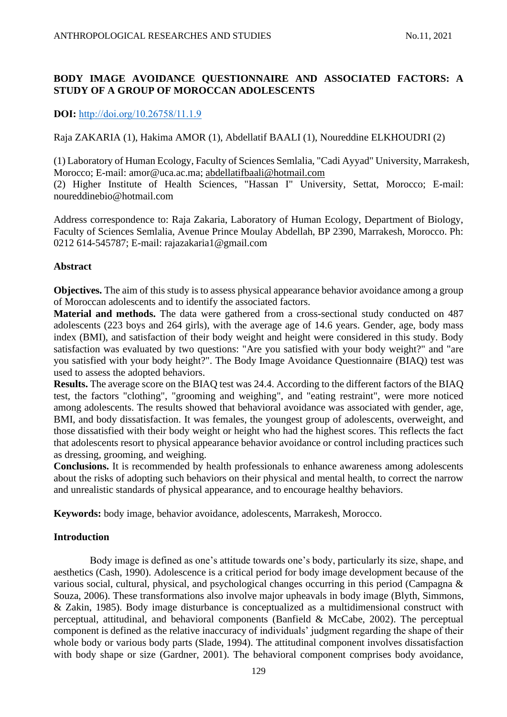# **BODY IMAGE AVOIDANCE QUESTIONNAIRE AND ASSOCIATED FACTORS: A STUDY OF A GROUP OF MOROCCAN ADOLESCENTS**

# **DOI:** [http://doi.org/10.26758/11.1.9](https://www.journalstudiesanthropology.ro/en/body-image-avoidance-questionnaire-and-associated-factors-a-study-of-a-group-of-moroccan-adolescents/a167/)

Raja ZAKARIA (1), Hakima AMOR (1), Abdellatif BAALI (1), Noureddine ELKHOUDRI (2)

(1) Laboratory of Human Ecology, Faculty of Sciences Semlalia, "Cadi Ayyad" University, Marrakesh, Morocco; E-mail: amor@uca.ac.ma; [abdellatifbaali@hotmail.com](mailto:abdellatifbaali@hotmail.com)

(2) Higher Institute of Health Sciences, "Hassan I" University, Settat, Morocco; E-mail: noureddinebio@hotmail.com

Address correspondence to: Raja Zakaria, Laboratory of Human Ecology, Department of Biology, Faculty of Sciences Semlalia, Avenue Prince Moulay Abdellah, BP 2390, Marrakesh, Morocco. Ph: 0212 614-545787; E-mail: rajazakaria1@gmail.com

## **Abstract**

**Objectives.** The aim of this study is to assess physical appearance behavior avoidance among a group of Moroccan adolescents and to identify the associated factors.

**Material and methods.** The data were gathered from a cross-sectional study conducted on 487 adolescents (223 boys and 264 girls), with the average age of 14.6 years. Gender, age, body mass index (BMI), and satisfaction of their body weight and height were considered in this study. Body satisfaction was evaluated by two questions: "Are you satisfied with your body weight?" and "are you satisfied with your body height?". The Body Image Avoidance Questionnaire (BIAQ) test was used to assess the adopted behaviors.

**Results.** The average score on the BIAQ test was 24.4. According to the different factors of the BIAQ test, the factors "clothing", "grooming and weighing", and "eating restraint", were more noticed among adolescents. The results showed that behavioral avoidance was associated with gender, age, BMI, and body dissatisfaction. It was females, the youngest group of adolescents, overweight, and those dissatisfied with their body weight or height who had the highest scores. This reflects the fact that adolescents resort to physical appearance behavior avoidance or control including practices such as dressing, grooming, and weighing.

**Conclusions.** It is recommended by health professionals to enhance awareness among adolescents about the risks of adopting such behaviors on their physical and mental health, to correct the narrow and unrealistic standards of physical appearance, and to encourage healthy behaviors.

**Keywords:** body image, behavior avoidance, adolescents, Marrakesh, Morocco.

## **Introduction**

Body image is defined as one's attitude towards one's body, particularly its size, shape, and aesthetics (Cash, 1990). Adolescence is a critical period for body image development because of the various social, cultural, physical, and psychological changes occurring in this period (Campagna & Souza, 2006). These transformations also involve major upheavals in body image (Blyth, Simmons, & Zakin, 1985). Body image disturbance is conceptualized as a multidimensional construct with perceptual, attitudinal, and behavioral components (Banfield & McCabe, 2002). The perceptual component is defined as the relative inaccuracy of individuals' judgment regarding the shape of their whole body or various body parts (Slade, 1994). The attitudinal component involves dissatisfaction with body shape or size (Gardner, 2001). The behavioral component comprises body avoidance,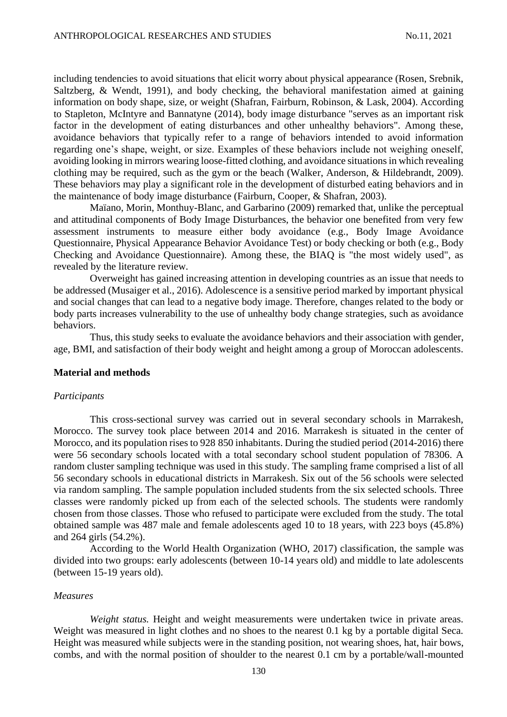including tendencies to avoid situations that elicit worry about physical appearance (Rosen, Srebnik, Saltzberg, & Wendt, 1991), and body checking, the behavioral manifestation aimed at gaining information on body shape, size, or weight (Shafran, Fairburn, Robinson, & Lask, 2004). According to Stapleton, McIntyre and Bannatyne (2014), body image disturbance "serves as an important risk factor in the development of eating disturbances and other unhealthy behaviors". Among these, avoidance behaviors that typically refer to a range of behaviors intended to avoid information regarding one's shape, weight, or size. Examples of these behaviors include not weighing oneself, avoiding looking in mirrors wearing loose-fitted clothing, and avoidance situations in which revealing clothing may be required, such as the gym or the beach (Walker, Anderson, & Hildebrandt, 2009). These behaviors may play a significant role in the development of disturbed eating behaviors and in the maintenance of body image disturbance (Fairburn, Cooper, & Shafran, 2003).

Maïano, Morin, Monthuy-Blanc, and Garbarino (2009) remarked that, unlike the perceptual and attitudinal components of Body Image Disturbances, the behavior one benefited from very few assessment instruments to measure either body avoidance (e.g., Body Image Avoidance Questionnaire, Physical Appearance Behavior Avoidance Test) or body checking or both (e.g., Body Checking and Avoidance Questionnaire). Among these, the BIAQ is "the most widely used", as revealed by the literature review.

Overweight has gained increasing attention in developing countries as an issue that needs to be addressed (Musaiger et al., 2016). Adolescence is a sensitive period marked by important physical and social changes that can lead to a negative body image. Therefore, changes related to the body or body parts increases vulnerability to the use of unhealthy body change strategies, such as avoidance behaviors.

Thus, this study seeks to evaluate the avoidance behaviors and their association with gender, age, BMI, and satisfaction of their body weight and height among a group of Moroccan adolescents.

#### **Material and methods**

#### *Participants*

This cross-sectional survey was carried out in several secondary schools in Marrakesh, Morocco. The survey took place between 2014 and 2016. Marrakesh is situated in the center of Morocco, and its population rises to 928 850 inhabitants. During the studied period (2014-2016) there were 56 secondary schools located with a total secondary school student population of 78306. A random cluster sampling technique was used in this study. The sampling frame comprised a list of all 56 secondary schools in educational districts in Marrakesh. Six out of the 56 schools were selected via random sampling. The sample population included students from the six selected schools. Three classes were randomly picked up from each of the selected schools. The students were randomly chosen from those classes. Those who refused to participate were excluded from the study. The total obtained sample was 487 male and female adolescents aged 10 to 18 years, with 223 boys (45.8%) and 264 girls (54.2%).

According to the World Health Organization (WHO, 2017) classification, the sample was divided into two groups: early adolescents (between 10-14 years old) and middle to late adolescents (between 15-19 years old).

#### *Measures*

*Weight status.* Height and weight measurements were undertaken twice in private areas. Weight was measured in light clothes and no shoes to the nearest 0.1 kg by a portable digital Seca. Height was measured while subjects were in the standing position, not wearing shoes, hat, hair bows, combs, and with the normal position of shoulder to the nearest 0.1 cm by a portable/wall-mounted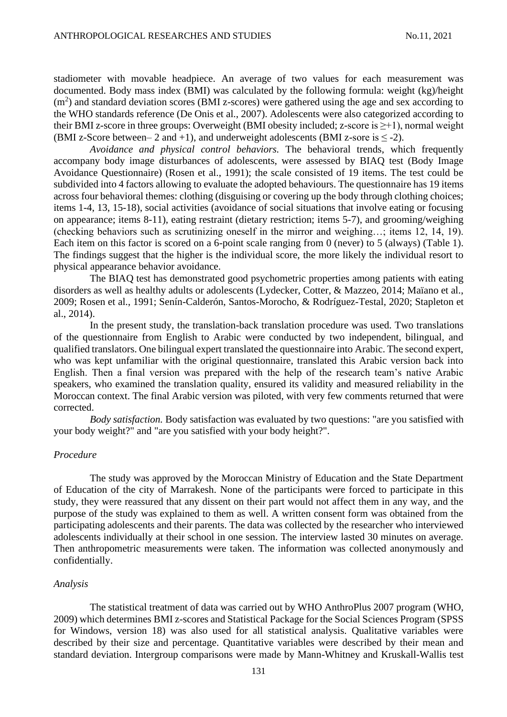stadiometer with movable headpiece. An average of two values for each measurement was documented. Body mass index (BMI) was calculated by the following formula: weight (kg)/height  $(m<sup>2</sup>)$  and standard deviation scores (BMI z-scores) were gathered using the age and sex according to the WHO standards reference (De Onis et al., 2007). Adolescents were also categorized according to their BMI z-score in three groups: Overweight (BMI obesity included; z-score is  $\geq +1$ ), normal weight (BMI z-Score between– 2 and +1), and underweight adolescents (BMI z-sore is  $\leq$  -2).

*Avoidance and physical control behaviors.* The behavioral trends, which frequently accompany body image disturbances of adolescents, were assessed by BIAQ test (Body Image Avoidance Questionnaire) (Rosen et al., 1991); the scale consisted of 19 items. The test could be subdivided into 4 factors allowing to evaluate the adopted behaviours. The questionnaire has 19 items across four behavioral themes: clothing (disguising or covering up the body through clothing choices; items 1-4, 13, 15-18), social activities (avoidance of social situations that involve eating or focusing on appearance; items 8-11), eating restraint (dietary restriction; items 5-7), and grooming/weighing (checking behaviors such as scrutinizing oneself in the mirror and weighing…; items 12, 14, 19). Each item on this factor is scored on a 6-point scale ranging from 0 (never) to 5 (always) (Table 1). The findings suggest that the higher is the individual score, the more likely the individual resort to physical appearance behavior avoidance.

The BIAQ test has demonstrated good psychometric properties among patients with eating disorders as well as healthy adults or adolescents (Lydecker, Cotter, & Mazzeo, 2014; Maïano et al., 2009; Rosen et al., 1991; Senín-Calderón, Santos-Morocho, & Rodríguez-Testal, 2020; Stapleton et al., 2014).

In the present study, the translation-back translation procedure was used. Two translations of the questionnaire from English to Arabic were conducted by two independent, bilingual, and qualified translators. One bilingual expert translated the questionnaire into Arabic. The second expert, who was kept unfamiliar with the original questionnaire, translated this Arabic version back into English. Then a final version was prepared with the help of the research team's native Arabic speakers, who examined the translation quality, ensured its validity and measured reliability in the Moroccan context. The final Arabic version was piloted, with very few comments returned that were corrected.

*Body satisfaction.* Body satisfaction was evaluated by two questions: "are you satisfied with your body weight?" and "are you satisfied with your body height?".

#### *Procedure*

The study was approved by the Moroccan Ministry of Education and the State Department of Education of the city of Marrakesh. None of the participants were forced to participate in this study, they were reassured that any dissent on their part would not affect them in any way, and the purpose of the study was explained to them as well. A written consent form was obtained from the participating adolescents and their parents. The data was collected by the researcher who interviewed adolescents individually at their school in one session. The interview lasted 30 minutes on average. Then anthropometric measurements were taken. The information was collected anonymously and confidentially.

#### *Analysis*

The statistical treatment of data was carried out by WHO AnthroPlus 2007 program (WHO, 2009) which determines BMI z-scores and Statistical Package for the Social Sciences Program (SPSS for Windows, version 18) was also used for all statistical analysis. Qualitative variables were described by their size and percentage. Quantitative variables were described by their mean and standard deviation. Intergroup comparisons were made by Mann-Whitney and Kruskall-Wallis test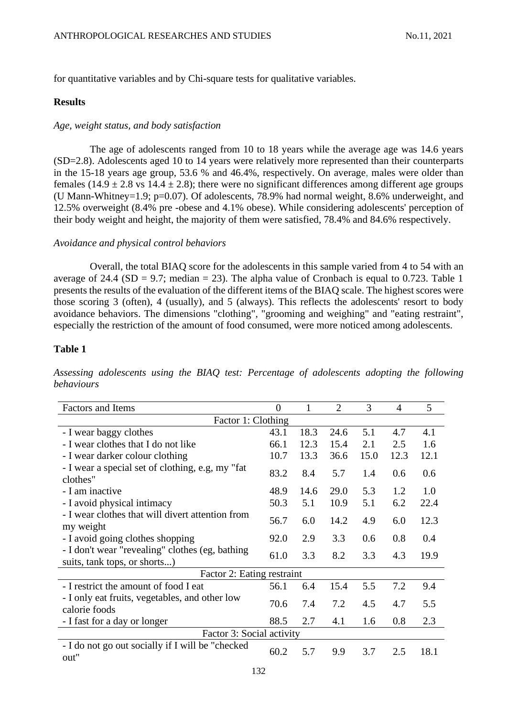for quantitative variables and by Chi-square tests for qualitative variables.

### **Results**

#### *Age, weight status, and body satisfaction*

The age of adolescents ranged from 10 to 18 years while the average age was 14.6 years (SD=2.8). Adolescents aged 10 to 14 years were relatively more represented than their counterparts in the 15-18 years age group, 53.6 % and 46.4%, respectively. On average, males were older than females (14.9  $\pm$  2.8 vs 14.4  $\pm$  2.8); there were no significant differences among different age groups (U Mann-Whitney=1.9; p=0.07). Of adolescents, 78.9% had normal weight, 8.6% underweight, and 12.5% overweight (8.4% pre -obese and 4.1% obese). While considering adolescents' perception of their body weight and height, the majority of them were satisfied, 78.4% and 84.6% respectively.

#### *Avoidance and physical control behaviors*

Overall, the total BIAQ score for the adolescents in this sample varied from 4 to 54 with an average of 24.4 (SD = 9.7; median = 23). The alpha value of Cronbach is equal to 0.723. Table 1 presents the results of the evaluation of the different items of the BIAQ scale. The highest scores were those scoring 3 (often), 4 (usually), and 5 (always). This reflects the adolescents' resort to body avoidance behaviors. The dimensions "clothing", "grooming and weighing" and "eating restraint", especially the restriction of the amount of food consumed, were more noticed among adolescents.

## **Table 1**

*Assessing adolescents using the BIAQ test: Percentage of adolescents adopting the following behaviours*

| <b>Factors and Items</b>                                                        |      | 1    | $\overline{2}$ | 3    | $\overline{4}$ | 5    |  |
|---------------------------------------------------------------------------------|------|------|----------------|------|----------------|------|--|
| Factor 1: Clothing                                                              |      |      |                |      |                |      |  |
| - I wear baggy clothes                                                          |      | 18.3 | 24.6           | 5.1  | 4.7            | 4.1  |  |
| - I wear clothes that I do not like                                             |      | 12.3 | 15.4           | 2.1  | 2.5            | 1.6  |  |
| - I wear darker colour clothing                                                 |      | 13.3 | 36.6           | 15.0 | 12.3           | 12.1 |  |
| - I wear a special set of clothing, e.g, my "fat"<br>clothes"                   |      | 8.4  | 5.7            | 1.4  | 0.6            | 0.6  |  |
| - I am inactive                                                                 |      | 14.6 | 29.0           | 5.3  | 1.2            | 1.0  |  |
| - I avoid physical intimacy                                                     |      | 5.1  | 10.9           | 5.1  | 6.2            | 22.4 |  |
| - I wear clothes that will divert attention from<br>my weight                   |      | 6.0  | 14.2           | 4.9  | 6.0            | 12.3 |  |
| - I avoid going clothes shopping                                                |      | 2.9  | 3.3            | 0.6  | 0.8            | 0.4  |  |
| - I don't wear "revealing" clothes (eg, bathing<br>suits, tank tops, or shorts) |      | 3.3  | 8.2            | 3.3  | 4.3            | 19.9 |  |
| Factor 2: Eating restraint                                                      |      |      |                |      |                |      |  |
| - I restrict the amount of food I eat                                           | 56.1 | 6.4  | 15.4           | 5.5  | 7.2            | 9.4  |  |
| - I only eat fruits, vegetables, and other low<br>calorie foods                 |      | 7.4  | 7.2            | 4.5  | 4.7            | 5.5  |  |
| - I fast for a day or longer                                                    | 88.5 | 2.7  | 4.1            | 1.6  | 0.8            | 2.3  |  |
| Factor 3: Social activity                                                       |      |      |                |      |                |      |  |
| - I do not go out socially if I will be "checked"<br>out"                       | 60.2 | 5.7  | 9.9            | 3.7  | 2.5            | 18.1 |  |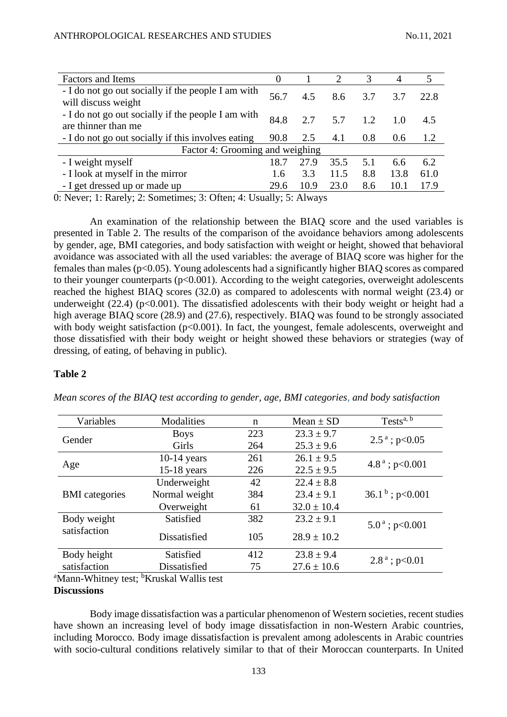| <b>Factors and Items</b>                                                  |  |      | 2    | 3   | $\overline{4}$ |      |
|---------------------------------------------------------------------------|--|------|------|-----|----------------|------|
| - I do not go out socially if the people I am with<br>will discuss weight |  | 4.5  | 8.6  | 3.7 | 3.7            | 22.8 |
| - I do not go out socially if the people I am with<br>are thinner than me |  | 2.7  | 5.7  | 12  | 1.0            | 4.5  |
| - I do not go out socially if this involves eating                        |  | 2.5  | 4.1  | 0.8 | 0.6            | 1.2  |
| Factor 4: Grooming and weighing                                           |  |      |      |     |                |      |
| - I weight myself                                                         |  | 27.9 | 35.5 | 5.1 | 6.6            | 6.2  |
| - I look at myself in the mirror                                          |  | 3.3  | 11.5 | 8.8 | 13.8           | 61.0 |
| - I get dressed up or made up                                             |  | 10.9 | 23.0 | 8.6 | 10.1           | 17.9 |

0: Never; 1: Rarely; 2: Sometimes; 3: Often; 4: Usually; 5: Always

An examination of the relationship between the BIAQ score and the used variables is presented in Table 2. The results of the comparison of the avoidance behaviors among adolescents by gender, age, BMI categories, and body satisfaction with weight or height, showed that behavioral avoidance was associated with all the used variables: the average of BIAQ score was higher for the females than males (p<0.05). Young adolescents had a significantly higher BIAQ scores as compared to their younger counterparts (p<0.001). According to the weight categories, overweight adolescents reached the highest BIAQ scores (32.0) as compared to adolescents with normal weight (23.4) or underweight  $(22.4)$  (p<0.001). The dissatisfied adolescents with their body weight or height had a high average BIAQ score (28.9) and (27.6), respectively. BIAQ was found to be strongly associated with body weight satisfaction ( $p<0.001$ ). In fact, the youngest, female adolescents, overweight and those dissatisfied with their body weight or height showed these behaviors or strategies (way of dressing, of eating, of behaving in public).

#### **Table 2**

| Variables                                                                                                       | Modalities                                                                                                                                                                                                                                                                                                                                          | $\mathbf n$ | Mean $\pm$ SD   | Tests $a, b$                |  |
|-----------------------------------------------------------------------------------------------------------------|-----------------------------------------------------------------------------------------------------------------------------------------------------------------------------------------------------------------------------------------------------------------------------------------------------------------------------------------------------|-------------|-----------------|-----------------------------|--|
| Gender                                                                                                          | <b>Boys</b>                                                                                                                                                                                                                                                                                                                                         | 223         | $23.3 \pm 9.7$  |                             |  |
|                                                                                                                 | Girls                                                                                                                                                                                                                                                                                                                                               | 264         | $25.3 \pm 9.6$  | $2.5^{\text{a}}$ ; p<0.05   |  |
| Age                                                                                                             | $10-14$ years                                                                                                                                                                                                                                                                                                                                       | 261         | $26.1 \pm 9.5$  |                             |  |
|                                                                                                                 | $15-18$ years                                                                                                                                                                                                                                                                                                                                       | 226         | $22.5 \pm 9.5$  | $4.8^{\text{a}}$ ; p<0.001  |  |
|                                                                                                                 | Underweight                                                                                                                                                                                                                                                                                                                                         | 42          | $22.4 \pm 8.8$  |                             |  |
| <b>BMI</b> categories                                                                                           | Normal weight                                                                                                                                                                                                                                                                                                                                       | 384         | $23.4 \pm 9.1$  | $36.1b$ ; p<0.001           |  |
|                                                                                                                 | Overweight                                                                                                                                                                                                                                                                                                                                          | 61          | $32.0 \pm 10.4$ |                             |  |
| Body weight                                                                                                     | Satisfied                                                                                                                                                                                                                                                                                                                                           | 382         | $23.2 \pm 9.1$  |                             |  |
| satisfaction                                                                                                    | Dissatisfied                                                                                                                                                                                                                                                                                                                                        | 105         | $28.9 \pm 10.2$ | $5.0^{\text{ a}}$ ; p<0.001 |  |
| Body height                                                                                                     | Satisfied                                                                                                                                                                                                                                                                                                                                           | 412         | $23.8 \pm 9.4$  |                             |  |
| satisfaction                                                                                                    | Dissatisfied                                                                                                                                                                                                                                                                                                                                        | 75          | $27.6 \pm 10.6$ | $2.8^{\text{a}}$ ; p<0.01   |  |
| 97.5<br>$\mathbf{v}$ $\mathbf{v}$ $\mathbf{v}$ $\mathbf{v}$ $\mathbf{v}$<br>the contract of the contract of the | $h\mathbf{r}$<br>$\mathbf{1}$ $\mathbf{1}$ $\mathbf{1}$ $\mathbf{1}$ $\mathbf{1}$ $\mathbf{1}$ $\mathbf{1}$ $\mathbf{1}$ $\mathbf{1}$ $\mathbf{1}$ $\mathbf{1}$ $\mathbf{1}$ $\mathbf{1}$ $\mathbf{1}$ $\mathbf{1}$ $\mathbf{1}$ $\mathbf{1}$ $\mathbf{1}$ $\mathbf{1}$ $\mathbf{1}$ $\mathbf{1}$ $\mathbf{1}$ $\mathbf{1}$ $\mathbf{1}$ $\mathbf{$ |             |                 |                             |  |

*Mean scores of the BIAQ test according to gender, age, BMI categories, and body satisfaction*

<sup>a</sup>Mann-Whitney test; <sup>b</sup>Kruskal Wallis test

#### **Discussions**

Body image dissatisfaction was a particular phenomenon of Western societies, recent studies have shown an increasing level of body image dissatisfaction in non-Western Arabic countries, including Morocco. Body image dissatisfaction is prevalent among adolescents in Arabic countries with socio-cultural conditions relatively similar to that of their Moroccan counterparts. In United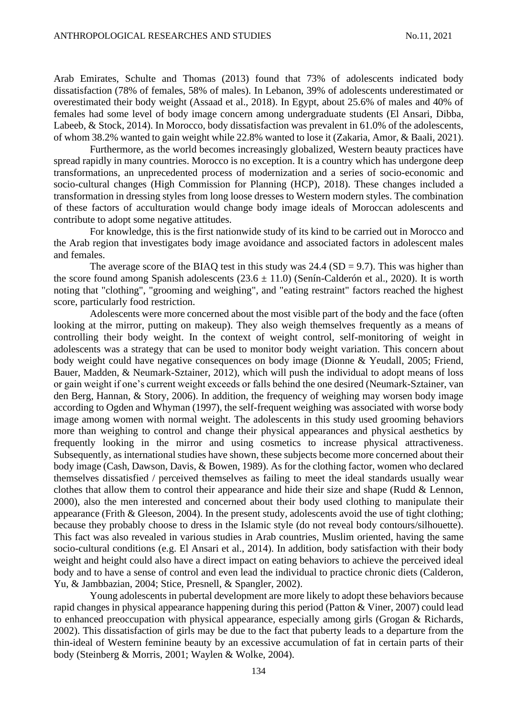Arab Emirates, Schulte and Thomas (2013) found that 73% of adolescents indicated body dissatisfaction (78% of females, 58% of males). In Lebanon, 39% of adolescents underestimated or overestimated their body weight (Assaad et al., 2018). In Egypt, about 25.6% of males and 40% of females had some level of body image concern among undergraduate students (El Ansari, Dibba, Labeeb, & Stock, 2014). In Morocco, body dissatisfaction was prevalent in 61.0% of the adolescents, of whom 38.2% wanted to gain weight while 22.8% wanted to lose it (Zakaria, Amor, & Baali, 2021).

Furthermore, as the world becomes increasingly globalized, Western beauty practices have spread rapidly in many countries. Morocco is no exception. It is a country which has undergone deep transformations, an unprecedented process of modernization and a series of socio-economic and socio-cultural changes (High Commission for Planning (HCP), 2018). These changes included a transformation in dressing styles from long loose dresses to Western modern styles. The combination of these factors of acculturation would change body image ideals of Moroccan adolescents and contribute to adopt some negative attitudes.

For knowledge, this is the first nationwide study of its kind to be carried out in Morocco and the Arab region that investigates body image avoidance and associated factors in adolescent males and females.

The average score of the BIAQ test in this study was  $24.4$  (SD = 9.7). This was higher than the score found among Spanish adolescents  $(23.6 \pm 11.0)$  (Senin-Calderón et al., 2020). It is worth noting that "clothing", "grooming and weighing", and "eating restraint" factors reached the highest score, particularly food restriction.

Adolescents were more concerned about the most visible part of the body and the face (often looking at the mirror, putting on makeup). They also weigh themselves frequently as a means of controlling their body weight. In the context of weight control, self-monitoring of weight in adolescents was a strategy that can be used to monitor body weight variation. This concern about body weight could have negative consequences on body image (Dionne & Yeudall, 2005; Friend, Bauer, Madden, & Neumark-Sztainer, 2012), which will push the individual to adopt means of loss or gain weight if one's current weight exceeds or falls behind the one desired (Neumark-Sztainer, van den Berg, Hannan, & Story, 2006). In addition, the frequency of weighing may worsen body image according to Ogden and Whyman (1997), the self-frequent weighing was associated with worse body image among women with normal weight. The adolescents in this study used grooming behaviors more than weighing to control and change their physical appearances and physical aesthetics by frequently looking in the mirror and using cosmetics to increase physical attractiveness. Subsequently, as international studies have shown, these subjects become more concerned about their body image (Cash, Dawson, Davis, & Bowen, 1989). As for the clothing factor, women who declared themselves dissatisfied / perceived themselves as failing to meet the ideal standards usually wear clothes that allow them to control their appearance and hide their size and shape (Rudd & Lennon, 2000), also the men interested and concerned about their body used clothing to manipulate their appearance (Frith  $\&$  Gleeson, 2004). In the present study, adolescents avoid the use of tight clothing; because they probably choose to dress in the Islamic style (do not reveal body contours/silhouette). This fact was also revealed in various studies in Arab countries, Muslim oriented, having the same socio-cultural conditions (e.g. El Ansari et al., 2014). In addition, body satisfaction with their body weight and height could also have a direct impact on eating behaviors to achieve the perceived ideal body and to have a sense of control and even lead the individual to practice chronic diets (Calderon, Yu, & Jambbazian, 2004; Stice, Presnell, & Spangler, 2002).

Young adolescents in pubertal development are more likely to adopt these behaviors because rapid changes in physical appearance happening during this period (Patton & Viner, 2007) could lead to enhanced preoccupation with physical appearance, especially among girls (Grogan & Richards, 2002). This dissatisfaction of girls may be due to the fact that puberty leads to a departure from the thin-ideal of Western feminine beauty by an excessive accumulation of fat in certain parts of their body (Steinberg & Morris, 2001; Waylen & Wolke, 2004).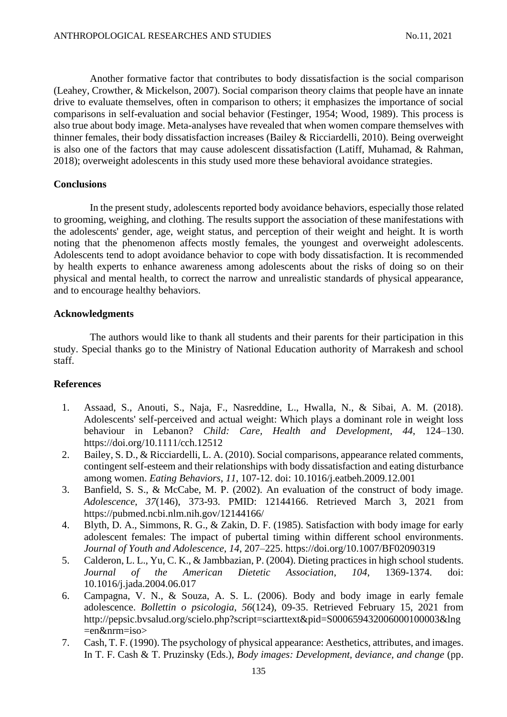Another formative factor that contributes to body dissatisfaction is the social comparison (Leahey, Crowther, & Mickelson, 2007). Social comparison theory claims that people have an innate drive to evaluate themselves, often in comparison to others; it emphasizes the importance of social comparisons in self-evaluation and social behavior (Festinger, 1954; Wood, 1989). This process is also true about body image. Meta-analyses have revealed that when women compare themselves with thinner females, their body dissatisfaction increases (Bailey & Ricciardelli, 2010). Being overweight is also one of the factors that may cause adolescent dissatisfaction (Latiff, Muhamad, & Rahman, 2018); overweight adolescents in this study used more these behavioral avoidance strategies.

#### **Conclusions**

In the present study, adolescents reported body avoidance behaviors, especially those related to grooming, weighing, and clothing. The results support the association of these manifestations with the adolescents' gender, age, weight status, and perception of their weight and height. It is worth noting that the phenomenon affects mostly females, the youngest and overweight adolescents. Adolescents tend to adopt avoidance behavior to cope with body dissatisfaction. It is recommended by health experts to enhance awareness among adolescents about the risks of doing so on their physical and mental health, to correct the narrow and unrealistic standards of physical appearance, and to encourage healthy behaviors.

## **Acknowledgments**

The authors would like to thank all students and their parents for their participation in this study. Special thanks go to the Ministry of National Education authority of Marrakesh and school staff.

## **References**

- 1. Assaad, S., Anouti, S., Naja, F., Nasreddine, L., Hwalla, N., & Sibai, A. M. (2018). Adolescents' self-perceived and actual weight: Which plays a dominant role in weight loss behaviour in Lebanon? *Child: Care, Health and Development*, *44*, 124–130. <https://doi.org/10.1111/cch.12512>
- 2. Bailey, S. D., & Ricciardelli, L. A. (2010). Social comparisons, appearance related comments, contingent self-esteem and their relationships with body dissatisfaction and eating disturbance among women. *Eating Behaviors*, *11*, 107-12. doi: 10.1016/j.eatbeh.2009.12.001
- 3. Banfield, S. S., & McCabe, M. P. (2002). An evaluation of the construct of body image. *Adolescence*, *37*(146), 373-93. PMID: 12144166. Retrieved March 3, 2021 from <https://pubmed.ncbi.nlm.nih.gov/12144166/>
- 4. Blyth, D. A., Simmons, R. G., & Zakin, D. F. (1985). Satisfaction with body image for early adolescent females: The impact of pubertal timing within different school environments. *Journal of Youth and Adolescence*, *14*, 207–225.<https://doi.org/10.1007/BF02090319>
- 5. Calderon, L. L., Yu, C. K., & Jambbazian, P. (2004). Dieting practices in high school students. *Journal of the American Dietetic Association*, *104*, 1369-1374. doi: 10.1016/j.jada.2004.06.017
- 6. Campagna, V. N., & Souza, A. S. L. (2006). Body and body image in early female adolescence. *Bollettin o psicologia*, *56*(124), 09-35. Retrieved February 15, 2021 from http://pepsic.bvsalud.org/scielo.php?script=sciarttext&pid=S000659432006000100003&lng =en&nrm=iso>
- 7. Cash, T. F. (1990). The psychology of physical appearance: Aesthetics, attributes, and images. In T. F. Cash & T. Pruzinsky (Eds.), *Body images: Development, deviance, and change* (pp.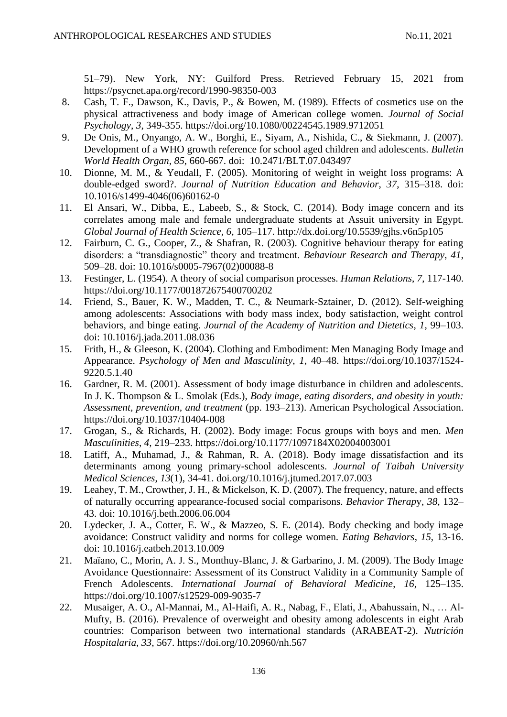51–79). New York, NY: Guilford Press. Retrieved February 15, 2021 from https://psycnet.apa.org/record/1990-98350-003

- 8. Cash, T. F., Dawson, K., Davis, P., & Bowen, M. (1989). Effects of cosmetics use on the physical attractiveness and body image of American college women. *Journal of Social Psychology*, *3*, 349-355. [https://doi.org/10.1080/00224545.1989.9712051](https://psycnet.apa.org/doi/10.1080/00224545.1989.9712051)
- 9. De Onis, M., Onyango, A. W., Borghi, E., Siyam, A., Nishida, C., & Siekmann, J. (2007). Development of a WHO growth reference for school aged children and adolescents. *Bulletin World Health Organ, 85*, 660-667. doi: [10.2471/BLT.07.043497](https://dx.doi.org/10.2471%2FBLT.07.043497)
- 10. Dionne, M. M., & Yeudall, F. (2005). Monitoring of weight in weight loss programs: A double-edged sword?. *Journal of Nutrition Education and Behavior*, *37*, 315–318. doi: [10.1016/s1499-4046\(06\)60162-0](https://doi.org/10.1016/s1499-4046%2806%2960162-0)
- 11. El Ansari, W., Dibba, E., Labeeb, S., & Stock, C. (2014). Body image concern and its correlates among male and female undergraduate students at Assuit university in Egypt. *Global Journal of Health Science*, *6*, 105–117.<http://dx.doi.org/10.5539/gjhs.v6n5p105>
- 12. Fairburn, C. G., Cooper, Z., & Shafran, R. (2003). Cognitive behaviour therapy for eating disorders: a "transdiagnostic" theory and treatment. *Behaviour Research and Therapy*, *41*, 509–28. doi: 10.1016/s0005-7967(02)00088-8
- 13. Festinger, L. (1954). A theory of social comparison processes. *Human Relations*, *7*, 117-140. [https://doi.org/10.1177/001872675400700202](https://doi.org/10.1177%2F001872675400700202)
- 14. Friend, S., Bauer, K. W., Madden, T. C., & Neumark-Sztainer, D. (2012). Self-weighing among adolescents: Associations with body mass index, body satisfaction, weight control behaviors, and binge eating. *Journal of the Academy of Nutrition and Dietetics*, *1*, 99–103. doi: 10.1016/j.jada.2011.08.036
- 15. Frith, H., & Gleeson, K. (2004). Clothing and Embodiment: Men Managing Body Image and Appearance. *Psychology of Men and Masculinity*, *1*, 40–48. [https://doi.org/10.1037/1524-](https://doi.org/10.1037/1524-9220.5.1.40) [9220.5.1.40](https://doi.org/10.1037/1524-9220.5.1.40)
- 16. Gardner, R. M. (2001). Assessment of body image disturbance in children and adolescents. In J. K. Thompson & L. Smolak (Eds.), *Body image, eating disorders, and obesity in youth: Assessment, prevention, and treatment* (pp. 193–213). American Psychological Association. [https://doi.org/10.1037/10404-008](https://psycnet.apa.org/doi/10.1037/10404-008)
- 17. Grogan, S., & Richards, H. (2002). Body image: Focus groups with boys and men. *Men Masculinities*, *4*, 219–233. [https://doi.org/10.1177/1097184X02004003001](https://psycnet.apa.org/doi/10.1177/1097184X02004003001)
- 18. Latiff, A., Muhamad, J., & Rahman, R. A. (2018). Body image dissatisfaction and its determinants among young primary-school adolescents. *Journal of Taibah University Medical Sciences*, *13*(1), 34-41. [doi.org/10.1016/j.jtumed.2017.07.003](https://doi.org/10.1016/j.jtumed.2017.07.003)
- 19. Leahey, T. M., Crowther, J. H., & Mickelson, K. D. (2007). The frequency, nature, and effects of naturally occurring appearance-focused social comparisons. *Behavior Therap*y, *38*, 132– 43. doi: 10.1016/j.beth.2006.06.004
- 20. Lydecker, J. A., Cotter, E. W., & Mazzeo, S. E. (2014). Body checking and body image avoidance: Construct validity and norms for college women. *Eating Behaviors*, *15*, 13-16. doi: [10.1016/j.eatbeh.2013.10.009](https://doi.org/10.1016/j.eatbeh.2013.10.009)
- 21. Maïano, C., Morin, A. J. S., Monthuy-Blanc, J. & Garbarino, J. M. (2009). The Body Image Avoidance Questionnaire: Assessment of its Construct Validity in a Community Sample of French Adolescents. *International Journal of Behavioral Medicine*, *16*, 125–135. <https://doi.org/10.1007/s12529-009-9035-7>
- 22. Musaiger, A. O., Al-Mannai, M., Al-Haifi, A. R., Nabag, F., Elati, J., Abahussain, N., … Al-Mufty, B. (2016). Prevalence of overweight and obesity among adolescents in eight Arab countries: Comparison between two international standards (ARABEAT-2). *Nutrición Hospitalaria*, *33*, 567.<https://doi.org/10.20960/nh.567>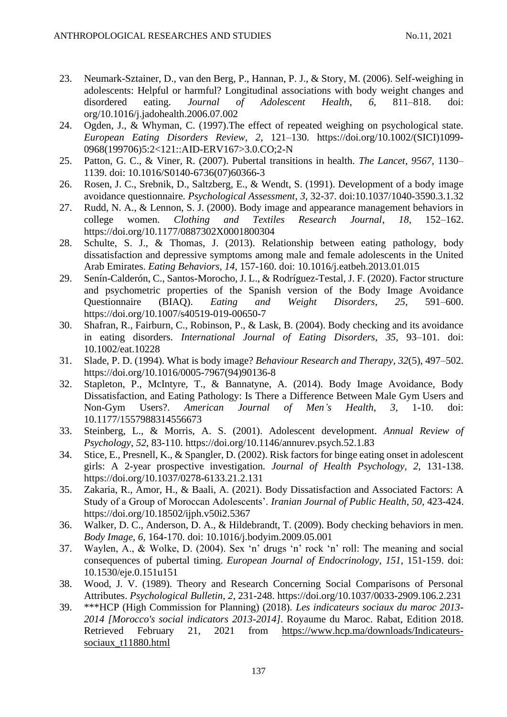- 23. Neumark-Sztainer, D., van den Berg, P., Hannan, P. J., & Story, M. (2006). Self-weighing in adolescents: Helpful or harmful? Longitudinal associations with body weight changes and disordered eating. Journal of Adolescent Health, 6, 811-818. doi: disordered eating. *Journal of Adolescent Health*, *6*, 811–818. doi: [org/10.1016/j.jadohealth.2006.07.002](https://doi.org/10.1016/j.jadohealth.2006.07.002)
- 24. Ogden, J., & Whyman, C. (1997).The effect of repeated weighing on psychological state. *European Eating Disorders Review*, *2*, 121–130. https://doi.org/10.1002/(SICI)1099- 0968(199706)5:2<121::AID-ERV167>3.0.CO;2-N
- 25. Patton, G. C., & Viner, R. (2007). Pubertal transitions in health. *The Lancet*, *9567*, 1130– 1139. doi: 10.1016/S0140-6736(07)60366-3
- 26. Rosen, J. C., Srebnik, D., Saltzberg, E., & Wendt, S. (1991). Development of a body image avoidance questionnaire. *Psychological Assessment*, *3*, 32-37. doi[:10.1037/1040-3590.3.1.32](https://doi.org/10.1037/1040-3590.3.1.32)
- 27. Rudd, N. A., & Lennon, S. J. (2000). Body image and appearance management behaviors in college women. *Clothing and Textiles Research Journal*, *18*, 152–162. [https://doi.org/10.1177/0887302X0001800304](https://doi.org/10.1177%2F0887302X0001800304)
- 28. [Schulte,](https://www.sciencedirect.com/science/article/pii/S1471015313000160#%21) S. J., & [Thomas,](https://www.sciencedirect.com/science/article/pii/S1471015313000160#%21) J. (2013). Relationship between eating pathology, body dissatisfaction and depressive symptoms among male and female adolescents in the United Arab Emirates. *Eating Behaviors*, *14*, 157-160. doi: 10.1016/j.eatbeh.2013.01.015
- 29. Senín-Calderón, C., Santos-Morocho, J. L., & Rodríguez-Testal, J. F. (2020). Factor structure and psychometric properties of the Spanish version of the Body Image Avoidance Questionnaire (BIAQ). *Eating and Weight Disorders*, *25*, 591–600. <https://doi.org/10.1007/s40519-019-00650-7>
- 30. Shafran, R., Fairburn, C., Robinson, P., & Lask, B. (2004). Body checking and its avoidance in eating disorders. *[International Journal of Eating Disorde](https://www.ncbi.nlm.nih.gov/labs/journals/int-j-eat-disord/new/2017-09-30/)rs*, *35*, 93–101. doi: 10.1002/eat.10228
- 31. Slade, P. D. (1994). What is body image? *Behaviour Research and Therapy*, *32*(5), 497–502. [https://doi.org/10.1016/0005-7967\(94\)90136-8](https://doi.org/10.1016/0005-7967%2894%2990136-8)
- 32. Stapleton, P., McIntyre, T., & Bannatyne, A. (2014). Body Image Avoidance, Body Dissatisfaction, and Eating Pathology: Is There a Difference Between Male Gym Users and Non-Gym Users?. *American Journal of Men's Health*, *3*, 1-10. doi: 10.1177/1557988314556673
- 33. Steinberg, L., & Morris, A. S. (2001). Adolescent development. *Annual Review of Psychology*, *52*, 83-110. [https://doi.org/10.1146/annurev.psych.52.1.83](https://psycnet.apa.org/doi/10.1146/annurev.psych.52.1.83)
- 34. Stice, E., Presnell, K., & Spangler, D. (2002). Risk factors for binge eating onset in adolescent girls: A 2-year prospective investigation. *Journal of Health Psychology*, *2*, 131-138. [https://doi.org/10.1037/0278-6133.21.2.131](https://content.apa.org/doi/10.1037/0278-6133.21.2.131)
- 35. Zakaria, R., Amor, H., & Baali, A. (2021). Body Dissatisfaction and Associated Factors: A Study of a Group of Moroccan Adolescents'. *Iranian Journal of Public Health*, *50*, 423-424. <https://doi.org/10.18502/ijph.v50i2.5367>
- 36. Walker, D. C., Anderson, D. A., & Hildebrandt, T. (2009). Body checking behaviors in men. *Body Image*, *6*, 164-170. doi: 10.1016/j.bodyim.2009.05.001
- 37. Waylen, A., & Wolke, D. (2004). Sex 'n' drugs 'n' rock 'n' roll: The meaning and social consequences of pubertal timing. *European Journal of Endocrinology*, *151*, 151-159. doi: 10.1530/eje.0.151u151
- 38. Wood, J. V. (1989). Theory and Research Concerning Social Comparisons of Personal Attributes. *Psychological Bulletin*, *2*, 231-248. [https://doi.org/10.1037/0033-2909.106.2.231](https://psycnet.apa.org/doi/10.1037/0033-2909.106.2.231)
- 39. \*\*\*HCP (High Commission for Planning) (2018). *Les indicateurs sociaux du maroc 2013- 2014 [Morocco's social indicators 2013-2014]*. Royaume du Maroc. Rabat, Edition 2018. Retrieved February 21, 2021 from [https://www.hcp.ma/downloads/Indicateurs](https://www.hcp.ma/downloads/Indicateurs-sociaux_t11880.html)[sociaux\\_t11880.html](https://www.hcp.ma/downloads/Indicateurs-sociaux_t11880.html)